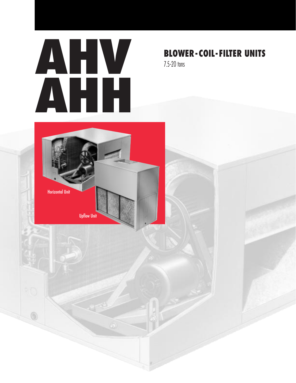

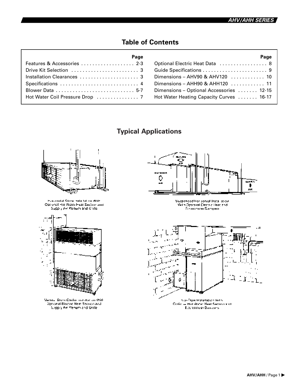# **Table of Contents**

| Page                        |     |
|-----------------------------|-----|
| Features & Accessories  2-3 | Op  |
| Drive Kit Selection  3      | Gu  |
| Installation Clearances  3  | Dir |
| Specifications  4           | Dir |
|                             | Dir |
|                             |     |
|                             |     |

|                                          | Page |
|------------------------------------------|------|
| Optional Electric Heat Data  8           |      |
|                                          |      |
| Dimensions - AHV90 & AHV120  10          |      |
| Dimensions - AHH90 & AHH120  11          |      |
| Dimensions - Optional Accessories  12-15 |      |
| Hot Water Heating Capacity Curves  16-17 |      |

# **Typical Applications**



- Horozontal Store, asta talizo With<br>Optional Hot Water Heat Section and<br>- Supply Arc Plenum and Ghile



Vertical Store Cooler installation With Uptional Electric Heat Section and Supply Air Plenamichd Griffel



Suspended Horizonial Installation<br>- Valin Operatal Dectric Used and<br>- Economical Dampara

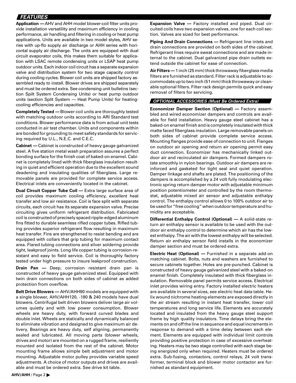# **FEATURES**

**Application —** AHV and AHH model blower-coil filter units provide installation versatility and maximum efficiency in cooling performance, air handling and filtering in cooling or heat pump applications. Units are available in two model styles, AHV series with up-flo supply air discharge or AHH series with horizontal supply air discharge. The units are equipped with dual circuit evaporator coils, this makes them suitable for application with LSAC remote condensing units or LSAP heat pump outdoor units. Each indoor coil circuit has a separate expansion valve and distribution system for two stage capacity control during cooling cycles. Blower coil units are shipped factory assembled ready to install. Blower drives are shipped separately and must be ordered extra. See condensing unit bulletins (section Spilt System Condensing Units) or heat pump outdoor units (section Split System — Heat Pump Units) for heatingcooling efficiencies and capacities.

**Completely Tested —** Blower coil units are thoroughly tested with matching outdoor units according to ARI Standard test conditions. Blower performance data is from actual unit tests conducted in air test chamber. Units and components within are bonded for grounding to meet safety standards for servicing required by U.L., N.E.C. and C.E.C.

**Cabinet —** Cabinet is constructed of heavy gauge galvanized steel. A five station metal wash preparation assures a perfect bonding surface for the finish coat of baked-on enamel. Cabinet is completely lined with thick fiberglass insulation resulting in quiet and efficient operation due to the excellent sound deadening and insulating qualities of fiberglass. Large removable panels are provided for complete service access. Electrical inlets are conveniently located in the cabinet.

**Dual Circuit Copper Tube Coil —** Extra large surface area of coil provides maximum cooling efficiency, excellent heat transfer and low air resistance. Coil is face split with separate circuits, each circuit has its separate expansion valve. Precise circuiting gives uniform refrigerant distribution. Fabricated coil is constructed of precisely spaced ripple-edged aluminum fins fitted to durable seamless rifled copper tubes. Rifled tubing provides superior refrigerant flow resulting in maximum heat transfer. Fins are strengthened to resist bending and are equipped with collars that grip tubing for maximum contact area. Flared tubing connections and silver soldering provide tight, leakproof joints. Long life copper tubing is corrosion-resistant and easy to field service. Coil is thoroughly factory tested under high pressure to insure leakproof construction.

**Drain Pan —** Deep, corrosion resistant drain pan is constructed of heavy gauge galvanized steel. Equipped with twin drain connections on both sides of cabinet as added protection from overflow.

**Belt Drive Blowers —** AHV/AHH90 models are equipped with a single blower, AHV/AHH120, -180 & 240 models have dual blowers. Centrifugal belt driven blowers deliver large air volumes quietly and with low power consumption. Blower wheels are heavy duty, with forward curved blades and double inlet. Wheels are statically and dynamically balanced to eliminate vibration and designed to give maximum air delivery. Bearings are heavy duty, self aligning, permanently sealed and lubricated. All moving parts (blower wheels, drives and motor) are mounted on a rugged frame, resiliently mounted and isolated from the rest of the cabinet. Motor mounting frame allows simple belt adjustment and motor mounting. Adjustable motor pulley provides variable speed adjustments. A choice of motor outputs and drives are available and must be ordered extra. See drive kit table.

**Expansion Valve —** Factory installed and piped. Dual circuited coils have two expansion valves, one for each coil section. Valves are sized for best performance.

**Piping And Drain Connections —** Refrigerant line inlets and drain connections are provided on both sides of the cabinet. Refrigerant lines require sweat connections and are made internal to the cabinet. Dual galvanized pipe drain outlets extend outside the cabinet for ease of connection.

**Air Filters —** 1 inch (25 mm) thick throwaway fiberglass media filters are furnished as standard. Filter rack is adjustable to accommodate up to two inch (51 mm) thick throwaway or cleanable optional filters. Filter rack design permits quick and easy removal of filters for servicing.

## **OPTIONAL ACCESSORIES (Must Be Ordered Extra)**

**Economizer Damper Section (Optional) —** Factory assembled and wired economizer dampers and controls are available for field installation. Heavy gauge steel cabinet has a baked-on enamel finish and is completely insulated with thick matte faced fiberglass insulation. Large removable panels on both sides of cabinet provide complete service access. Mounting flanges provide ease of connection to unit. Flanges on outdoor air opening and return air opening permit easy duct connection. Economizer has mechanically linked outdoor air and recirculated air dampers. Formed dampers rotate smoothly in nylon bearings. Outdoor air dampers are reinforced and gasketed for tight seal and quiet operation. Damper linkage and shafts are plated. The positioning of the dampers is accomplished by a 24 volt fully modulating electronic spring return damper motor with adjustable minimum position potentiometer and controlled by the room thermostat, adjustable mixed air sensor and adjustable enthalpy control. The enthalpy control allows 0 to 100% outdoor air to be used for "free cooling" when outdoor temperature and humidity are acceptable.

**Differential Enthalpy Control (Optional) —** A solid-state return air enthalpy sensor is available to be used with the outdoor air enthalpy control to determine which air has the lowest enthalpy. The air with the lowest enthalpy will be selected. Return air enthalpy sensor field installs in the economizer damper section and must be ordered extra.

**Electric Heat (Optional) —** Furnished in a separate add-on matching cabinet. Bolts, nuts and washers are furnished to secure cabinets together. Holes are pre-punched. Cabinet is constructed of heavy gauge galvanized steel with a baked-on enamel finish. Completely insulated with thick fiberglass insulation. Removable panel permits service access. Electrical inlet provides wiring entry. Factory installed electric heaters are available in several sizes, see electric heat data table. Helix wound nichrome heating elements are exposed directly in the air stream resulting in instant heat transfer, lower coil temperatures and long service life. Elements are accurately located and insulated from the heavy gauge steel support frame by high quality insulators. Time delays bring the elements on and off the line in sequence and equal increments in response to demand with a time delay between each element. Elements are equipped with individual limit controls providing positive protection in case of excessive overheating. Heaters may be two stage controlled with each stage being energized only when required. Heaters must be ordered extra. Sub-fusing, contactors, control relays, 24 volt transformer, terminal block and blower motor contactor are furnished as standard equipment.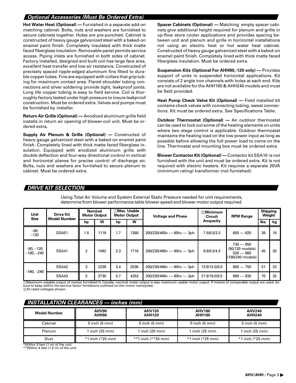# **Optional Accessories (Must Be Ordered Extra)**

**Hot Water Heat (Optional) —** Furnished in a separate add-on matching cabinet. Bolts, nuts and washers are furnished to secure cabinets together. Holes are pre-punched. Cabinet is constructed of heavy gauge galvanized steel with a baked-on enamel paint finish. Completely insulated with thick matte faced fiberglass insulation. Removable panel permits service access. Piping inlets are furnished in both sides of cabinet. Factory installed, designed and built coil has large face area, excellent heat transfer and low air resistance. Constructed of precisely spaced ripple-edged aluminum fins fitted to durable copper tubes. Fins are equipped with collars that grip tubing for maximum contact area. Flared shoulder tubing connections and silver soldering provide tight, leakproof joints. Long life copper tubing is easy to field service. Coil is thoroughly factory tested under high pressure to insure leakproof construction. Must be ordered extra. Valves and pumps must be furnished by installer.

**Return Air Grille (Optional) —** Anodized aluminum grille field installs in return air opening of blower-coil unit. Must be ordered extra.

**Supply Air Plenum & Grille (Optional) —** Constructed of heavy gauge galvanized steel with a baked-on enamel paint finish. Completely lined with thick matte faced fiberglass insulation. Equipped with anodized aluminum grille with double deflection and four-way directional control in vertical and horizontal planes for precise control of discharge air. Bolts, nuts and washers are furnished to secure plenum to cabinet. Must be ordered extra.

**Spacer Cabinets (Optional) —** Matching empty spacer cabinets give additional height required for plenum and grille in up-flow store cooler applications and provides spacing between unit and plenum and grille in horizontal installations not using an electric heat or hot water heat cabinet. Constructed of heavy gauge galvanized steel with a baked-on enamel paint finish. Completely lined with thick matte faced fiberglass insulation. Must be ordered extra.

**Suspension Kits (Optional For AHH90,-120 only) —** Provides support of units in suspended horizontal applications. Kit consists of 2 angle iron channels with holes at each end. Kits are not available for the AHH180 & AHH240 models and must be field provided.

**Heat Pump Check Valve Kit (Optional) —** Field installed kit contains check valves with connecting tubing, sweat connections. Kit must be ordered extra. See Specifications Table.

**Outdoor Thermostat (Optional) —** An outdoor thermostat can be used to lock out some of the heating elements on units where two stage control is applicable. Outdoor thermostat maintains the heating load on the low power input as long as possible before allowing the full power load to come on the line. Thermostat and mounting box must be ordered extra.

**Blower Contactor Kit (Optional) —** Contactor kit SSA10 is not furnished with the unit and must be ordered extra. Kit is not required with electric heaters. Kit requires a separate 20VA (minimum rating) transformer (not furnished).

## **DRIVE KIT SELECTION**

| <b>Unit</b><br><b>Size</b>  | <b>Drive Kit</b><br><b>Model Number</b> | <b>Nominal</b><br><b>Motor Output</b> |      | ⊞Max. Usable<br><b>Motor Output</b> |      | <b>Voltage and Phase</b>    | $2$ Minimum<br><b>Circuit</b> | <b>RPM Range</b>                                                  | <b>Shipping</b><br>Weight |    |
|-----------------------------|-----------------------------------------|---------------------------------------|------|-------------------------------------|------|-----------------------------|-------------------------------|-------------------------------------------------------------------|---------------------------|----|
|                             |                                         | hp                                    | W    | hp                                  | W    |                             | Ampacity                      |                                                                   | lbs.                      | kg |
| $-90$<br>$-120$             | <b>SSA51</b>                            | 1.5                                   | 1119 | 1.7                                 | 1268 | $200/230/460v - 60hz - 3ph$ | 7.5/6.5/3.3                   | $600 - 820$                                                       | 39                        | 18 |
| $-90, -120$<br>$-180, -240$ | <b>SSA41</b>                            | 2                                     | 1492 | 2.3                                 | 1716 | $200/230/460v - 60hz - 3ph$ | 9.9/8.5/4.3                   | $730 - 950$<br>(90/120 models)<br>$520 - 660$<br>(180/240 models) | 45                        | 20 |
| $-180, -240$                | SSA42                                   | 3                                     | 2238 | 3.4                                 | 2536 | $200/230/460v - 60hz - 3ph$ | 13.9/12.0/6.0                 | $600 - 750$                                                       | 51                        | 23 |
|                             | SSA43                                   | 5                                     | 3730 | 5.7                                 | 4252 | $200/230/460v - 60hz - 3ph$ | 21.9/19.0/9.5                 | $690 - 830$                                                       | 70                        | 32 |

Using Total Air Volume and System External Static Pressure needed for unit requirements, determine from blower performance table blower speed and blower motor output required.

Maximum useable output of motors furnished In Canada, nominal motor output is also maximum usable motor output. If motors of comparable output are used, be sure to keep within the service factor limitations outlined on the motor nameplate. 2 At rated voltages shown.

#### **INSTALLATION CLEARANCES — inches (mm)**

| <b>Model Number</b>                  | AHV90<br>AHH90            | <b>AHV120</b><br><b>AHH120</b> | <b>AHV180</b><br><b>AHH180</b> | <b>AHV240</b><br><b>AHH240</b> |
|--------------------------------------|---------------------------|--------------------------------|--------------------------------|--------------------------------|
| Cabinet                              | $0$ inch $(0 \text{ mm})$ | $0$ inch $(0 \text{ mm})$      | $0$ inch $(0 \text{ mm})$      | $0$ inch $(0 \text{ mm})$      |
| Plenum                               | 1 inch (25 mm)            | 1 inch $(25 \text{ mm})$       | 1 inch $(25 \text{ mm})$       | 1 inch $(25 \text{ mm})$       |
| Duct                                 | $*1$ inch ( $*25$ mm)     | $**1$ inch (**25 mm)           | $*1$ inch ( $*25$ mm)          | $*1$ inch ( $*25$ mm)          |
| $*$ Within 3 feet (1 m) of the unit. |                           |                                |                                |                                |

\*\*Within 4 feet (1.2 m) of the unit.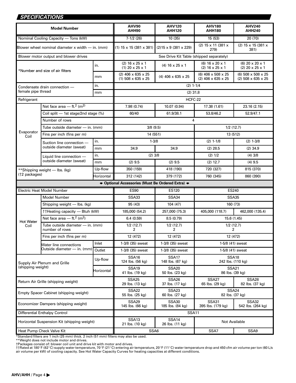# **SPECIFICATIONS**

|                                        | нул куп                                              |                                 |                                                      |                                          |                                                            |                                                                |  |  |
|----------------------------------------|------------------------------------------------------|---------------------------------|------------------------------------------------------|------------------------------------------|------------------------------------------------------------|----------------------------------------------------------------|--|--|
|                                        | <b>Model Number</b>                                  |                                 | AHV90<br>AHH90                                       | <b>AHV120</b><br><b>AHH120</b>           | <b>AHV180</b><br><b>AHH180</b>                             | <b>AHV240</b><br><b>AHH240</b>                                 |  |  |
|                                        | Nominal Cooling Capacity - Tons (kW)                 |                                 | $7-1/2$ (26)                                         | 10(35)                                   | 15 (53)                                                    | 20 (70)                                                        |  |  |
|                                        | Blower wheel nominal diameter x width — in. (mm)     |                                 | $(1)$ 15 x 15 (381 x 381)                            | $(2)15 \times 9 (381 \times 229)$        | $(2)$ 15 x 11 (381 x<br>279)                               | $(2)$ 15 x 15 (381 x<br>381)                                   |  |  |
|                                        | Blower motor output and blower drives                |                                 |                                                      | See Drive Kit Table (shipped separately) |                                                            |                                                                |  |  |
|                                        | *Number and size of air filters                      | in.                             | $(2)$ 16 x 25 x 1<br>$(1)$ 20 $\times$ 25 $\times$ 1 | $(4)$ 16 x 25 x 1                        | $(6)$ 16 x 20 x 1<br>$(2)$ 16 x 25 x 1                     | (6) $20 \times 20 \times 1$<br>$(2)$ 20 $\times$ 25 $\times$ 1 |  |  |
|                                        |                                                      | mm                              | $(2)$ 406 x 635 x 25<br>$(1)$ 508 x 635 x 25         | $(4)$ 406 x 635 x 25                     | $(6)$ 406 x 508 x 25<br>$(2)$ 406 $\times$ 635 $\times$ 25 | $(6)$ 508 x 508 x 25<br>$(2)$ 508 x 635 x 25                   |  |  |
|                                        | Condensate drain connection -                        | in.                             |                                                      | $(2)$ 1-1/4                              |                                                            |                                                                |  |  |
| female pipe thread                     |                                                      | mm                              |                                                      | $(2)$ 31.8                               |                                                            |                                                                |  |  |
| Refrigerant                            |                                                      |                                 |                                                      | HCFC-22                                  |                                                            |                                                                |  |  |
|                                        | Net face area - ft. <sup>2</sup> (m <sup>2)</sup>    |                                 | 7.98 (0.74)                                          | 10.07 (0.94)                             | 17.38 (1.61)                                               | 23.16 (2.15)                                                   |  |  |
|                                        | Coil split - 1st stage/2nd stage (%)                 |                                 | 60/40                                                | 61.9/38.1                                | 53.8/46.2                                                  | 52.9/47.1                                                      |  |  |
|                                        | Number of rows                                       |                                 |                                                      | 4                                        |                                                            |                                                                |  |  |
|                                        | Tube outside diameter - in. (mm)                     |                                 | 3/8(9.5)                                             |                                          | 1/2(12.7)                                                  |                                                                |  |  |
| Evaporator<br>Coil                     | Fins per inch (fins per m)                           |                                 | 14 (551)                                             |                                          | 13 (512)                                                   |                                                                |  |  |
|                                        | Suction line connection -                            | in.                             | $1 - 3/8$                                            |                                          | $(2)$ 1-1/8                                                | $(2)$ 1-3/8                                                    |  |  |
|                                        | outside diameter (sweat)                             | mm                              | 34.9                                                 | 34.9                                     | $(2)$ 28.5                                                 | $(2)$ 34.9                                                     |  |  |
|                                        | Liquid line connection -                             | in.                             | $(2)$ 3/8                                            |                                          | (2) 1/2                                                    | $(4)$ 3/8                                                      |  |  |
|                                        | outside diameter (sweat)                             | mm                              | (2) 9.5                                              | $(2)$ 9.5                                | $(2)$ 12.7                                                 | $(4)$ 9.5                                                      |  |  |
|                                        | **Shipping weight - Ibs. (kg)                        | Up-flow                         | 350 (159)                                            | 418 (190)                                | 720 (327)                                                  | 815 (370)                                                      |  |  |
| (†2 packages)                          |                                                      | Horizontal                      | 312 (142)                                            | 379 (172)                                | 760 (345)                                                  | 860 (390)                                                      |  |  |
|                                        |                                                      |                                 | → Optional Accessories (Must Be Ordered Extra) →     |                                          |                                                            |                                                                |  |  |
|                                        | Electric Heat Model Number                           |                                 | <b>ES90</b>                                          | <b>ES120</b><br><b>ES240</b>             |                                                            |                                                                |  |  |
|                                        | Model Number                                         |                                 | SSA33                                                | SSA34                                    | <b>SSA35</b>                                               |                                                                |  |  |
|                                        | Shipping weight - Ibs. (kg)                          |                                 | 95 (43)                                              | 104 (47)                                 | 160 (73)                                                   |                                                                |  |  |
|                                        | ††Heating capacity - Btuh (kW)                       |                                 | 185,000 (54.2)                                       | 257,000 (75.3)                           | 405,000 (118.7)                                            | 462,000 (135.4)                                                |  |  |
| <b>Hot Water</b>                       | Net face area $-$ ft. <sup>2</sup> (m <sup>2</sup> ) |                                 | 6.4(0.59)                                            | 8.5(0.79)                                | 15.6 (1.45)                                                |                                                                |  |  |
| Coil                                   | Tube outside diameter - in. (mm)<br>number of rows   |                                 | 1/2(12.7)<br>2                                       | 1/2(12.7)<br>2                           | 1/2(12.7)                                                  | $\overline{2}$                                                 |  |  |
|                                        | Fins per inch (fins per m)                           |                                 | 12 (472)                                             | 12 (472)                                 | 12 (472)                                                   |                                                                |  |  |
|                                        | Water line connections                               | Inlet                           | 1-3/8 (35) sweat                                     | 1-3/8 (35) sweat                         | 1-5/8 (41) sweat                                           |                                                                |  |  |
|                                        | Outside diameter — in. (mm)                          | Outlet                          | 1-3/8 (35) sweat                                     | 1-3/8 (35) sweat                         |                                                            | 1-5/8 (41) sweat                                               |  |  |
|                                        | Supply Air Plenum and Grille                         | Up-flow                         | <b>SSA16</b><br>124 lbs. (56 kg)                     | <b>SSA17</b><br>148 lbs. (67 kg)         | SSA <sub>18</sub>                                          | 242 lbs. (110 kg)                                              |  |  |
| (shipping weight)                      |                                                      | <b>SSA19</b><br>41 lbs. (19 kg) | <b>SSA20</b><br>50 lbs. (23 kg)                      | <b>SSA21</b><br>86 lbs. (39 kg)          |                                                            |                                                                |  |  |
| Return Air Grille (shipping weight)    |                                                      |                                 | <b>SSA25</b><br>29 lbs. (13 kg)                      | <b>SSA26</b><br>37 lbs. (17 kg)          | SSA27<br>65 lbs. (29 kg)                                   | <b>SSA28</b><br>82 lbs. (37 kg)                                |  |  |
| Empty Spacer Cabinet (shipping weight) |                                                      |                                 | SSA <sub>22</sub><br>55 lbs. (25 kg)                 | SSA <sub>23</sub><br>60 lbs. (27 kg)     | SSA24<br>82 lbs. (37 kg)                                   |                                                                |  |  |
| Economizer Dampers (shipping weight)   |                                                      |                                 | <b>SSA29</b><br>145 lbs. (66 kg)                     | <b>SSA30</b><br>185 lbs. (84 kg)         | <b>SSA31</b><br>395 lbs. (179 kg)                          | SSA32<br>542 lbs. (264 kg)                                     |  |  |
|                                        | Differential Enthalpy Control                        |                                 |                                                      | <b>SSA11</b>                             |                                                            |                                                                |  |  |
|                                        | Horizontal Suspension Kit (shipping weight)          |                                 | SSA13<br>21 lbs. (10 kg)                             | <b>SSA14</b><br>26 lbs. (11 kg)          | Not Available                                              |                                                                |  |  |
|                                        | Heat Pump Check Valve Kit                            |                                 | SSA6                                                 |                                          | SSA7                                                       | SSA9                                                           |  |  |

\*Standard filters are 1 inch (25 mm) thick. 2 inch (51 mm) filters may also be used.<br>\*\*Weight does not include motor and drives.<br>†Packages consist of: blower coil unit and drive kit with motor and drives.<br>††Rated at 180°F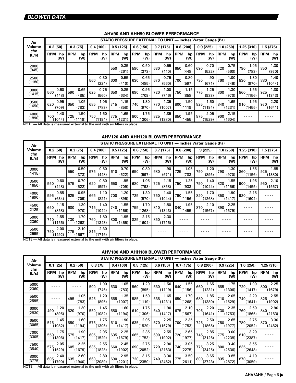| Air            |                         |                         |                         |                         |                         |                         |                         | <b>STATIC PRESSURE EXTERNAL TO UNIT - Inches Water Gauge (Pa)</b> |                         |                         |                         |
|----------------|-------------------------|-------------------------|-------------------------|-------------------------|-------------------------|-------------------------|-------------------------|-------------------------------------------------------------------|-------------------------|-------------------------|-------------------------|
| Volume         | 0.2(50)                 | 0.3(75)                 | 0.4(100)                | 0.5(125)                | 0.6(150)                | 0.7(175)                | 0.8(200)                | 0.9(225)                                                          | 1.0(250)                | 1.25 (310)              | 1.5(375)                |
| cfm<br>(L/s)   | <b>RPM</b><br>hp<br>(W) | <b>RPM</b><br>hp<br>(W) | <b>RPM</b><br>hp<br>(W) | <b>RPM</b><br>hp<br>(W) | <b>RPM</b><br>hp<br>(W) | <b>RPM</b><br>hp<br>(W) | <b>RPM</b><br>hp<br>(W) | <b>RPM</b><br>hp<br>(W)                                           | <b>RPM</b><br>hp<br>(W) | <b>RPM</b><br>hp<br>(W) | <b>RPM</b><br>hp<br>(W) |
| 2000<br>(945)  |                         |                         |                         | 0.35<br>550<br>(261)    | 0.50<br>590<br>(373)    | 0.55<br>630<br>(410)    | 0.60<br>650<br>(448)    | 0.70<br>690<br>(522)                                              | 0.75<br>720<br>(560)    | 1.05<br>790<br>(783)    | 1.30<br>850<br>(970)    |
| 2500<br>(1180) |                         |                         | 0.30<br>560<br>(224)    | 0.55<br>600<br>(410)    | 0.65<br>630<br>(485)    | 0.75<br>670<br>(560)    | 0.80<br>700<br>(597)    | .90<br>730<br>(671)                                               | 1.00<br>760<br>(746)    | 1.30<br>830<br>(970)    | 1.40<br>880<br>(1044)   |
| 3000<br>(1415) | 0.60<br>560<br>(448)    | 0.65<br>590<br>(485)    | 0.75<br>625<br>(560)    | 0.85<br>650<br>(634)    | 0.95<br>690<br>(709)    | 1.00<br>720<br>(746)    | 1.15<br>750<br>(858)    | 1.25<br>775<br>(933)                                              | 1.30<br>800<br>(970)    | 1.55<br>860<br>(1156)   | 1.80<br>925<br>(1343)   |
| 3500<br>(1650) | 0.95<br>620<br>(709)    | 1.05<br>650<br>(783)    | 1.05<br>685<br>(783)    | 1.15<br>715<br>(858)    | 1.30<br>740<br>(970)    | 1.35<br>770<br>(1007)   | 1.50<br>800<br>(1119)   | 1.60<br>825<br>(1194)                                             | 1.65<br>840<br>(1231)   | 1.95<br>910<br>(1455)   | 2.20<br>970<br>(1641)   |
| 4000<br>(1890) | 1.40<br>700<br>(1044)   | 1.50<br>725<br>(1119)   | 1.60<br>750<br>(1194)   | 1.65<br>775<br>1231)    | 1.75<br>800<br>1306     | 1.85<br>825<br>(1380)   | 1.95<br>850<br>1455)    | 2.05<br>875<br>1529)                                              | 2.15<br>900<br>(1604)   |                         |                         |

# **AHV90 AND AHH90 BLOWER PERFORMANCE**

NOTE — All data is measured external to the unit with air filters in place.

#### **AHV120 AND AHH120 BLOWER PERFORMANCE**

| Air            |                         |                         |                         |                         | <b>STATIC PRESSURE EXTERNAL TO UNIT — Inches Water Gauge (Pa)</b> |                         |                         |                         |                         |                         |                         |
|----------------|-------------------------|-------------------------|-------------------------|-------------------------|-------------------------------------------------------------------|-------------------------|-------------------------|-------------------------|-------------------------|-------------------------|-------------------------|
| Volume         | 0.2(50)                 | 0.3(75)                 | 0.4(100)                | 0.5(125)                | 0.6(150)                                                          | 0.7(175)                | 0.8(200)                | .9 (225)                | 1.0(250)                | 1.25 (310)              | 1.5(375)                |
| cfm<br>(L/s)   | <b>RPM</b><br>hp<br>(W) | <b>RPM</b><br>hp<br>(W) | <b>RPM</b><br>hp<br>(W) | <b>RPM</b><br>hp<br>(W) | <b>RPM</b><br>hp<br>(W)                                           | <b>RPM</b><br>hp<br>(W) | <b>RPM</b><br>hp<br>(W) | <b>RPM</b><br>hp<br>(W) | <b>RPM</b><br>hp<br>(W) | <b>RPM</b><br>hp<br>(W) | <b>RPM</b><br>hp<br>(W) |
| 3000<br>(1415) |                         | 0.50<br>550<br>(373)    | 0.60<br>575<br>(448)    | 0.70<br>610<br>(522)    | 0.80<br>650<br>(597)                                              | .90<br>680<br>(671)     | 1.05<br>725<br>(783)    | 1.20<br>750<br>(895)    | 1.30<br>790<br>(970)    | 1.55<br>860<br>(1156)   | 1.85<br>925<br>(1380)   |
| 3500<br>(1650) | 0.60<br>550<br>(448)    | 0.70<br>575<br>(522)    | 0.80<br>620<br>(597)    | .95<br>650<br>(709)     | 1.05<br>680<br>(793)                                              | 1.15<br>725<br>(858)    | 1.25<br>750<br>(933)    | 1.40<br>790<br>(1044)   | 1.55<br>820<br>(1156)   | 1.95<br>900<br>1455)    | 2.10<br>950<br>(1567)   |
| 4000<br>(1890) | 0.85<br>595<br>(634)    | 0.95<br>625<br>(709)    | 1.10<br>665<br>(821)    | 1.20<br>700<br>(895)    | 1.30<br>725<br>(970)                                              | 1.40<br>750<br>(1044)   | 1.55<br>790<br>(1156)   | 1.70<br>820<br>(1268)   | 1.90<br>850<br>(1417)   | 2.15<br>920<br>(1604)   |                         |
| 4500<br>(2125) | 1.15<br>650<br>(858)    | 1.30<br>680<br>(970)    | 1.40<br>715<br>(1044)   | 1.55<br>740<br>(1156)   | 1.70<br>755<br>(1268)                                             | 1.80<br>810<br>(1343)   | 1.95<br>840<br>(1455)   | 2.10<br>870<br>(1567)   | 2.25<br>890<br>(1679)   |                         |                         |
| 5000<br>(2360) | 1.55<br>710<br>(1156)   | 1.70<br>730<br>(1268)   | 1.80<br>760<br>(1343)   | 1.95<br>800<br>(1455)   | 2.15<br>825<br>(1604)                                             | 2.30<br>850<br>(1716)   |                         |                         |                         |                         |                         |
| 5500<br>(2595) | 2.00<br>750<br>(1492)   | 2.10<br>775<br>(1567)   | 2.30<br>815<br>(1716)   |                         |                                                                   |                         |                         |                         |                         |                         |                         |

NOTE — All data is measured external to the unit with air filters in place.

#### **AHV180 AND AHH180 BLOWER PERFORMANCE**

| Air                   |                         | STATIC PRESSURE EXTERNAL TO UNIT — Inches Water Gauge (Pa) |                         |                         |                         |                         |                         |                         |                         |                         |                         |  |
|-----------------------|-------------------------|------------------------------------------------------------|-------------------------|-------------------------|-------------------------|-------------------------|-------------------------|-------------------------|-------------------------|-------------------------|-------------------------|--|
| Volume                | 0.1(25)                 | 0.2(50)                                                    | 0.3(75)                 | 0.4(100)                | 0.5(125)                | 0.6(150)                | 0.7(175)                | 0.8(200)                | 0.9(225)                | 1.0(250)                | 1.25 (310)              |  |
| cfm<br>(L/s)          | <b>RPM</b><br>hp<br>(W) | <b>RPM</b><br>hp<br>(W)                                    | <b>RPM</b><br>hp<br>(W) | <b>RPM</b><br>hp<br>(W) | <b>RPM</b><br>hp<br>(W) | <b>RPM</b><br>hp<br>(W) | <b>RPM</b><br>hp<br>(W) | <b>RPM</b><br>hp<br>(W) | <b>RPM</b><br>hp<br>(W) | <b>RPM</b><br>hp<br>(W) | <b>RPM</b><br>hp<br>(W) |  |
| 5000<br>(2360)        |                         |                                                            | 1.00<br>500<br>(746)    | 1.05<br>530<br>(783)    | 1.20<br>560<br>(895)    | 1.50<br>630<br>(1119)   | 1.55<br>640<br>(1156)   | 1.65<br>660<br>(1231)   | 1.75<br>685<br>(1306)   | 1.90<br>720<br>(1417)   | 2.25<br>800<br>(1679)   |  |
| 5500<br>(2595)        |                         | 1.05<br>495<br>(783)                                       | 1.20<br>525<br>(895)    | 1.35<br>555<br>(1007)   | 1.50<br>585<br>(1119)   | 1.65<br>635<br>(1231)   | 1.70<br>650<br>(1268)   | 1.85<br>680<br>(1380)   | 2.05<br>710<br>(1529)   | 2.20<br>740<br>(1641)   | 2.55<br>825<br>(1902)   |  |
| 6000<br>(2830)        | 1.20<br>490<br>(895)    | 1.30<br>520<br>(970)                                       | 1.45<br>550<br>(1082)   | 1.60<br>580<br>(1194)   | 1.75<br>610<br>(1306)   | 1.90<br>640<br>(1417)   | 2.10<br>675<br>(1567)   | 2.20<br>705<br>(1641)   | 2.35<br>730<br>(1753)   | 2.50<br>760<br>(1865)   | 2.90<br>840<br>(2163)   |  |
| 6500<br>(3065)        | 1.45<br>515<br>(1082)   | 1.60<br>550<br>(1194)                                      | 1.75<br>575<br>(1306)   | 1.90<br>610<br>(1417)   | 2.05<br>635<br>(1529)   | 2.25<br>670<br>(1679)   | 2.35<br>700<br>(1753)   | 2.50<br>725<br>(1865)   | 2.65<br>750<br>(1977)   | 2.75<br>780<br>(2052)   | 3.30<br>870<br>(2462)   |  |
| 7000<br>(3305)        | 1.75<br>550<br>(1306)   | 1.90<br>575<br>(1417)                                      | 2.05<br>605<br>(1529)   | 2.25<br>635<br>(1679)   | 2.35<br>665<br>(1753)   | 2.55<br>690<br>(1902)   | 2.65<br>720<br>(1977)   | 2.85<br>745<br>(2126)   | 3.00<br>775<br>(2238)   | 3.20<br>810<br>(2387)   |                         |  |
| 7500<br>(3540)        | 2.05<br>575<br>(1529)   | 2.25<br>605<br>(1679)                                      | 2.55<br>635<br>(1828)   | 2.45<br>660<br>(1902)   | 2.75<br>690<br>(2052)   | 2.90<br>720<br>(2163)   | 3.05<br>740<br>(2275)   | 3.25<br>775<br>(2425)   | 3.40<br>800<br>(2536)   | 3.55<br>835<br>(2648)   |                         |  |
| 8000<br>(3775)<br>10T | 2.40<br>605<br>(1790)   | 2.60<br>635<br>(1940)                                      | 2.80<br>660<br>(2089)   | 2.95<br>690<br>(2201)   | 3.15<br>720<br>(2350)   | 3.30<br>740<br>(2462)   | 3.50<br>775<br>(2611)   | 3.65<br>800<br>(2723)   | 3.85<br>835<br>(2872)   | 4.10<br>870<br>(3059)   |                         |  |

NOTE — All data is measured external to the unit with air filters in place.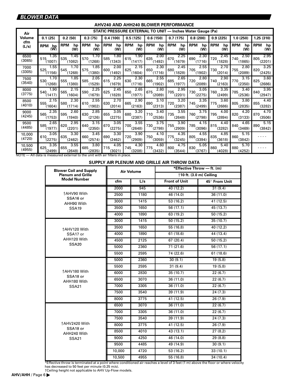# **BLOWER DATA**

#### **AHV240 AND AHH240 BLOWER PERFORMANCE**

| Air              |                       | STATIC PRESSURE EXTERNAL TO UNIT — Inches Water Gauge (Pa) |                         |                         |                         |                         |                         |                         |                         |                         |                         |  |
|------------------|-----------------------|------------------------------------------------------------|-------------------------|-------------------------|-------------------------|-------------------------|-------------------------|-------------------------|-------------------------|-------------------------|-------------------------|--|
| Volume           | 0.1(25)               | 0.2(50)                                                    | 0.3(75)                 | 0.4(100)                | 0.5(125)                | 0.6(150)                | 0.7(175)                | 0.8(200)                | 0.9(225)                | 1.0(250)                | 1.25(310)               |  |
| cfm<br>(L/s)     | <b>RPM</b><br>n<br>W) | <b>RPM</b><br>hp<br>(W)                                    | <b>RPM</b><br>hp<br>(W) | <b>RPM</b><br>hp<br>(W) | <b>RPM</b><br>hp<br>(W) | <b>RPM</b><br>hp<br>(W) | <b>RPM</b><br>hp<br>(W) | <b>RPM</b><br>hp<br>(W) | <b>RPM</b><br>hp<br>(W) | <b>RPM</b><br>hp<br>(W) | <b>RPM</b><br>hp<br>(W) |  |
| 6500<br>(3065)   | 1.35<br>515<br>(1007) | 1.45<br>535<br>(1082)                                      | 1.70<br>570<br>(1268)   | 1.80<br>585<br>(1343)   | 1.90<br>615<br>(1417)   | 2.00<br>635<br>(1492)   | 2.25<br>670<br>(1679)   | 2.30<br>690<br>(1716)   | 2.45<br>720<br>(1828)   | 2.50<br>740<br>(1865)   | 2.95<br>805<br>(2201)   |  |
| 7000<br>(3305)   | 1.55<br>525<br>(1156) | 1.70<br>545<br>(1268)                                      | 1.85<br>575<br>(1380)   | 2.00<br>600<br>(1492)   | 2.15<br>625<br>(1604)   | 2.30<br>650<br>(1716)   | 2.45<br>680<br>(1828)   | 2.55<br>705<br>(1902)   | 2.70<br>730<br>(2014)   | 2.80<br>755<br>(2089)   | 3.25<br>820<br>(2425)   |  |
| 7500<br>(3540)   | 1.70<br>530<br>(1268) | 1.85<br>555<br>(1380)                                      | 2.05<br>585<br>(1529)   | 2.25<br>615<br>(1679)   | 2.30<br>630<br>(1716)   | 2.55<br>665<br>(1902)   | 2.65<br>685<br>(1977)   | 2.80<br>720<br>(2089)   | 2.90<br>740<br>(2163)   | 3.15<br>770<br>(2350)   | 3.60<br>825<br>(2686)   |  |
| 8000<br>(3775)   | 1.90<br>540<br>(1417) | 2.15<br>565<br>(1604)                                      | 2.25<br>590<br>(1679)   | 2.45<br>625<br>(1828)   | 2.65<br>650<br>(1977)   | 2.80<br>675<br>(2089)   | 2.95<br>705<br>(2201)   | 3.05<br>730<br>(2275)   | 3.35<br>760<br>(2499)   | 3.40<br>785<br>(2536)   | 3.95<br>840<br>(2947)   |  |
| 8500<br>(4010)   | 2.15<br>555<br>(1604) | 2.30<br>580<br>(1714)                                      | 2.55<br>610<br>(1902)   | 2.70<br>630<br>(2014)   | 2.90<br>665<br>(2163)   | 3.10<br>690<br>(2313)   | 3.20<br>720<br>(2387)   | 3.35<br>745<br>(2499)   | 3.60<br>775<br>(2686)   | 3.80<br>805<br>(2835)   | 4.40<br>855<br>(3282)   |  |
| 9000<br>(4245)   | 2.35<br>565<br>(1753) | 2.60<br>595<br>(1940)                                      | 2.85<br>630<br>(2126)   | 3.05<br>655<br>(2275)   | 3.20<br>680<br>(2387)   | 3.40<br>710<br>(2536)   | 3.55<br>735<br>(2648)   | 3.75<br>760<br>(2798)   | 4.00<br>795<br>(2894)   | 4.20<br>820<br>(3133)   | 4.70<br>870<br>(3506)   |  |
| 9500<br>(4485)   | 2.65<br>585<br>(1977) | 2.95<br>620<br>(2201)                                      | 3.15<br>640<br>(2350)   | 3.05<br>670<br>(2275)   | 3.55<br>700<br>(2648)   | 3.75<br>730<br>(2798)   | 3.90<br>755<br>(2909)   | 4.15<br>785<br>(3096)   | 4.40<br>815<br>(3282)   | 4.65<br>840<br>(3469)   | 5.15<br>890<br>(3842)   |  |
| 10,000<br>(4720) | 3.05<br>610<br>(2275) | 3.30<br>635<br>(2462)                                      | 3.45<br>660<br>(2574)   | 3.30<br>690<br>(2462)   | 3.90<br>720<br>(2909)   | 4.10<br>750<br>(3059)   | 4.35<br>775<br>(3245)   | 4.55<br>805<br>(3394)   | 4.85<br>835<br>(3618)   | 5.15<br>860<br>(3842)   |                         |  |
| 10,500<br>(4955) | 3.35<br>625<br>(2499) | 3.55<br>655<br>(2648)                                      | 3.80<br>685<br>(2835)   | 4.05<br>715<br>(3021)   | 4.30<br>745<br>(3208)   | 4.60<br>775<br>(3432)   | 4.75<br>800<br>(3544)   | 5.05<br>830<br>(3767)   | 5.40<br>860<br>(4028)   | 5.70<br>880<br>(4252)   |                         |  |

NOTE — All data is measured external to the unit with air filters in place.

#### **SUPPLY AIR PLENUM AND GRILLE AIR THROW DATA**

| <b>Blower Coil and Supply</b>       |        | Air Volume | *Effective Throw - ft. (m)       |               |
|-------------------------------------|--------|------------|----------------------------------|---------------|
| <b>Plenum and Grille</b>            |        |            | $\dagger$ 10 ft. (3.0 m) Ceiling |               |
| <b>Model Number</b>                 | cfm    | L/s        | <b>Front of Unit</b>             | 45° From Unit |
|                                     | 2000   | 945        | 40 (12.2)                        | 31(9.4)       |
| †AHV90 With                         | 2500   | 1180       | 46 (14.0)                        | 36 (11.0)     |
| SSA <sub>16</sub> or<br>AHH90 With  | 3000   | 1415       | 53 (16.2)                        | 41 (12.5)     |
| <b>SSA19</b>                        | 3500   | 1650       | 56 (17.1)                        | 45 (13.7)     |
|                                     | 4000   | 1890       | 63 (19.2)                        | 50 (15.2)     |
|                                     | 3000   | 1415       | 50(15.2)                         | 35(10.7)      |
| †AHV120 With                        | 3500   | 1650       | 55 (16.8)                        | 40 (12.2)     |
| SSA17 or                            | 4000   | 1890       | 61(18.6)                         | 44 (13.4)     |
| AHH120 With                         | 4500   | 2125       | 67 (20.4)                        | 50(15.2)      |
| <b>SSA20</b>                        | 5000   | 2360       | 71 (21.6)                        | 56 (17.1)     |
|                                     | 5500   | 2595       | 74 (22.6)                        | 61(18.6)      |
|                                     | 5000   | 2360       | 30(9.1)                          | 19(5.8)       |
|                                     | 5500   | 2595       | 31(9.4)                          | 19(5.8)       |
| †AHV180 With                        | 6000   | 2830       | 35 (10.7)                        | 22(6.7)       |
| SSA <sub>18</sub> or<br>AHH180 With | 6500   | 3070       | 36 (11.0)                        | 22(6.7)       |
| <b>SSA21</b>                        | 7000   | 3305       | 36(11.0)                         | 22(6.7)       |
|                                     | 7500   | 3540       | 39 (11.9)                        | 24(7.3)       |
|                                     | 8000   | 3775       | 41 (12.5)                        | 26(7.9)       |
|                                     | 6500   | 3070       | 36 (11.0)                        | 22(6.7)       |
|                                     | 7000   | 3305       | 36(11.0)                         | 22(6.7)       |
|                                     | 7500   | 3540       | 39(11.9)                         | 24(7.3)       |
| †AHV2420 With                       | 8000   | 3775       | 41 (12.5)                        | 26(7.9)       |
| SSA <sub>18</sub> or<br>AHH240 With | 8500   | 4010       | 43 (13.1)                        | 27(8.2)       |
| <b>SSA21</b>                        | 9000   | 4250       | 46 (14.0)                        | 29(8.8)       |
|                                     | 9500   | 4485       | 49 (14.9)                        | 30(9.1)       |
|                                     | 10,000 | 4720       | 53(16.2)                         | 33(10.1)      |
|                                     | 10,500 | 4955       | 55 (16.8)                        | 34 (10.4)     |

\*Effective throw is terminated at a point where conditioned air reaches a level of 3 feet (1 m) above the floor or where velocity<br>has decreased to 50 feet per minute (0.25 m/s).<br>†Ceiling height not applicable to AHV Up-Flo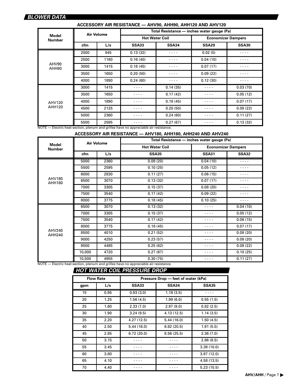## **ACCESSORY AIR RESISTANCE — AHV90, AHH90, AHH120 AND AHV120**

|                               | <b>Air Volume</b> |      |                       | Total Resistance — inches water gauge (Pa) |                           |          |  |  |  |  |
|-------------------------------|-------------------|------|-----------------------|--------------------------------------------|---------------------------|----------|--|--|--|--|
| <b>Model</b><br><b>Number</b> |                   |      | <b>Hot Water Coil</b> |                                            | <b>Economizer Dampers</b> |          |  |  |  |  |
|                               | cfm               | L/s  | SSA33                 | SSA34                                      | SSA <sub>29</sub>         | SSA30    |  |  |  |  |
|                               | 2000              | 945  | 0.13(32)              |                                            | 0.02(5)                   |          |  |  |  |  |
|                               | 2500              | 1180 | 0.16(40)              |                                            | 0.04(10)                  |          |  |  |  |  |
| AHV90<br>AHH90                | 3000              | 1415 | 0.18(45)              |                                            | 0.07(17)                  |          |  |  |  |  |
|                               | 3500              | 1650 | 0.20(50)              | 0.09(22)                                   |                           |          |  |  |  |  |
|                               | 4000              | 1890 | 0.24(60)              |                                            | 0.12(30)                  |          |  |  |  |  |
|                               | 3000              | 1415 |                       | 0.14(35)                                   |                           | 0.03(70) |  |  |  |  |
|                               | 3500              | 1650 |                       | 0.17(42)                                   |                           | 0.05(12) |  |  |  |  |
| AHV120                        | 4000              | 1890 |                       | 0.18(45)                                   |                           | 0.07(17) |  |  |  |  |
| AHH120                        | 4500              | 2125 |                       | 0.20(50)                                   |                           | 0.09(22) |  |  |  |  |
|                               | 5000              | 2360 |                       | 0.24(60)                                   |                           | 0.11(27) |  |  |  |  |
| $ - - -$<br>.                 | 5500              | 2595 | $\cdots$              | 0.27(67)<br>$\cdots$                       |                           | 0.13(32) |  |  |  |  |

NOTE — Electric heat section, plenum and grilles have no appreciable air resistance.

#### **ACCESSORY AIR RESISTANCE — AHV180, AHH180, AHH240 AND AHV240**

|                                | <b>Air Volume</b> |      | Total Resistance - inches water gauge (Pa) |                           |              |  |
|--------------------------------|-------------------|------|--------------------------------------------|---------------------------|--------------|--|
| <b>Model</b><br><b>Number</b>  |                   |      | <b>Hot Water Coil</b>                      | <b>Economizer Dampers</b> |              |  |
|                                | cfm               | L/s  | <b>SSA35</b>                               | <b>SSA31</b>              | <b>SSA32</b> |  |
|                                | 5000              | 2360 | 0.08(20)                                   | 0.04(10)                  |              |  |
|                                | 5500              | 2595 | 0.10(25)                                   | 0.05(12)                  |              |  |
|                                | 6000              | 2830 | 0.11(27)                                   | 0.06(15)                  |              |  |
| <b>AHV180</b><br><b>AHH180</b> | 6500              | 3070 | 0.13(32)                                   | 0.07(17)                  |              |  |
|                                | 7000              | 3305 | 0.15(37)                                   | 0.08(20)                  |              |  |
|                                | 7500              | 3540 | 0.17(42)                                   | 0.09(22)                  |              |  |
|                                | 8000              | 3775 | 0.18(45)                                   | 0.10(25)                  |              |  |
|                                | 6500              | 3070 | 0.13(32)                                   |                           | 0.04(10)     |  |
|                                | 7000              | 3305 | 0.15(37)                                   |                           | 0.05(12)     |  |
|                                | 7500              | 3540 | 0.17(42)                                   |                           | 0.06(15)     |  |
|                                | 8000              | 3775 | 0.18(45)                                   |                           | 0.07(17)     |  |
| AHV240<br>AHH240               | 8500              | 4010 | 0.21(52)                                   |                           | 0.08(20)     |  |
|                                | 9000              | 4250 | 0.23(57)                                   |                           | 0.08(20)     |  |
|                                | 9500              | 4485 | 0.25(62)                                   |                           | 0.09(22)     |  |
|                                | 10,000            | 4720 | 0.27(67)                                   |                           | 0.10(25)     |  |
|                                | 10,500            | 4955 | 0.30(75)                                   |                           | 0.11(27)     |  |

NOTE — Electric heat section, plenum and grilles have no appreciable air resistance.

#### **HOT WATER COIL PRESSURE DROP**

|     | <b>Flow Rate</b> |             | Pressure Drop - feet of water (kPa) |              |
|-----|------------------|-------------|-------------------------------------|--------------|
| gpm | L/s              | SSA33       | SSA34                               | <b>SSA35</b> |
| 15  | 0.95             | 0.93(3.0)   | 1.18(3.5)                           |              |
| 20  | 1.25             | 1.56(4.5)   | 1.99(6.0)                           | 0.55(1.5)    |
| 25  | 1.60             | 2.33(7.0)   | 2.97(9.0)                           | 0.82(2.5)    |
| 30  | 1.90             | 3.24(9.5)   | 4.13 (12.5)                         | 1.14(3.5)    |
| 35  | 2.20             | 4.27 (12.5) | 5.44(16.0)                          | 1.50(4.5)    |
| 40  | 2.50             | 5.44(16.0)  | 6.92(20.5)                          | 1.91(5.5)    |
| 45  | 2.85             | 6.72(20.0)  | 8.56(25.5)                          | 2.36(7.0)    |
| 50  | 3.15             |             |                                     | 2.86(8.5)    |
| 55  | 3.45             |             |                                     | 3.39(10.0)   |
| 60  | 3.80             |             |                                     | 3.97(12.0)   |
| 65  | 4.10             |             |                                     | 4.58 (13.5)  |
| 70  | 4.40             |             |                                     | 5.23(15.5)   |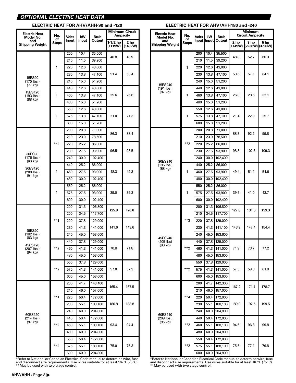# **OPTIONAL ELECTRIC HEAT DATA**

#### **ELECTRIC HEAT FOR AHV/AHH-90 and -120**

| <b>Electric Heat</b><br>Model No. | No.<br>οf | <b>Volts</b> | kW           | <b>Btuh</b> |                       | <b>Minimum Circuit</b><br>Ampacity |  |
|-----------------------------------|-----------|--------------|--------------|-------------|-----------------------|------------------------------------|--|
| and<br><b>Shipping Weight</b>     | Steps     | <b>Input</b> | <b>Input</b> | Output      | 1-1/2 $hp$<br>(1119W) | 2 hp<br>(1492W)                    |  |
|                                   |           | 200          | 10.4         | 35,500      | 46.8                  | 48.9                               |  |
|                                   |           | 210          | 11.5         | 39,200      |                       |                                    |  |
|                                   | 1         | 220          | 12.6         | 43,000      |                       |                                    |  |
| 15ES90                            |           | 230          | 13.8         | 47,100      | 51.4                  | 53.4                               |  |
| (170 lbs.)<br>(77 kg)             |           | 240          | 15.0         | 51,200      |                       |                                    |  |
| 15ES120                           |           | 440          | 12.6         | 43,000      |                       |                                    |  |
| (193 lbs.)<br>(88 kg)             | 1         | 460          | 13.8         | 47,100      | 25.6                  | 26.6                               |  |
|                                   |           | 480          | 15.0         | 51,200      |                       |                                    |  |
|                                   |           | 550          | 12.6         | 43,000      |                       |                                    |  |
|                                   | 1         | 575          | 13.8         | 47,100      | 21.0                  | 21.3                               |  |
|                                   |           | 600          | 15.0         | 51,200      |                       |                                    |  |
|                                   |           | 200          | 20.8         | 71,000      | 86.3                  | 88.4                               |  |
|                                   |           | 210          | 23.0         | 78,500      |                       |                                    |  |
|                                   | $**2$     | 220          | 25.2         | 86,000      |                       |                                    |  |
| 30ES90                            |           | 230          | 27.5         | 93,900      | 96.5                  | 98.5                               |  |
| (176 lbs.)<br>(80 kg)             |           | 240          | 30.0         | 102,400     |                       |                                    |  |
| 30ES120                           |           | 440          | 25.2         | 86,000      |                       |                                    |  |
| $(200$ lbs.)                      | 1         | 460          | 27.5         | 93,900      | 48.3                  | 49.3                               |  |
| (91 kg)                           |           | 480          | 30.0         | 102,400     |                       |                                    |  |
|                                   |           | 550          | 25.2         | 86,000      |                       |                                    |  |
|                                   | 1         | 575          | 27.5         | 93,900      | 39.0                  | 39.3                               |  |
|                                   |           | 600          | 30.0         | 102,400     |                       |                                    |  |
|                                   |           | 200          | 31.3         | 106,800     |                       |                                    |  |
|                                   |           | 200          | 34.5         | 117,700     | 125.9                 | 128.0                              |  |
|                                   | **3       | 220          | 37.8         | 129,000     |                       |                                    |  |
| 45ES90                            |           | 230          | 41.3         | 141,000     | 141.6                 | 143.6                              |  |
| $(182$ lbs.)                      |           | 240          | 45.0         | 153,600     |                       |                                    |  |
| (83 kg)                           |           | 440          | 37.8         | 129,000     |                       |                                    |  |
| 45ES120<br>$(207$ lbs.)           | **2       | 460          | 41.3         | 141,000     | 70.8                  | 71.8                               |  |
| $(94 \text{ kg})$                 |           | 480          | 45.0         | 153,600     |                       |                                    |  |
|                                   |           | 550          | 37.8         | 129,000     |                       |                                    |  |
|                                   | $***2$    | 575          | 41.3         | 141,000     | 57.0                  | 57.3                               |  |
|                                   |           | 600          | 45.0         | 153,600     |                       |                                    |  |
|                                   |           | 200          | 41.7         | 143,400     |                       |                                    |  |
|                                   |           | 210          | 46.0         | 157,000     | 165.4                 | 167.5                              |  |
|                                   | $***4$    | 220          | 50.4         | 172,000     |                       |                                    |  |
|                                   |           | 230          | 55.1         | 188,100     | 186.8                 | 188.8                              |  |
|                                   |           | 240          | 60.0         | 204,800     |                       |                                    |  |
| 60ES120<br>$(214$ lbs.)           |           | 440          | 50.4         | 172,000     |                       |                                    |  |
| (97 kg)                           | $**2$     | 460          | 55.1         | 188,100     | 93.4                  | 94.4                               |  |
|                                   |           | 480          | 60.0         | 204,800     |                       |                                    |  |
|                                   |           | 550          | 50.4         | 172,000     |                       |                                    |  |
|                                   | $***2$    | 575          | 55.1         | 188,100     | 75.0                  | 75.3                               |  |
|                                   |           | 600          | 60.0         | 204,800     |                       |                                    |  |

\*Refer to National or Canadian Electrical Code manual to determine wire, fuse and disconnect size requirements. Use wires suitable for at least 167°F (75-C). \*\*May be used with two stage control.

|  | ELECTRIC HEAT FOR AHV/AHH180 and -240 |  |
|--|---------------------------------------|--|
|--|---------------------------------------|--|

| <b>Electric Heat</b>                | No.         | <b>Volts</b> | kW           | <b>Btuh</b>        |                 | Minimum<br><b>Circuit Ampacity</b> |       |
|-------------------------------------|-------------|--------------|--------------|--------------------|-----------------|------------------------------------|-------|
| Model No.<br>and<br>Shipping Weight | of<br>Steps | Input  Input |              | Output             | 2 hp<br>(1149W) | 3 hp<br>(2238W) (3730W)            | 5 hp  |
|                                     |             | 200          | 10.4         | 35,500             |                 |                                    |       |
|                                     |             | 210          | 11.5         | 39,200             | 48.8            | 52.7                               | 60.3  |
|                                     | 1           | 220          | 12.6         | 43,000             |                 |                                    |       |
|                                     |             | 230          | 13.8         | 47,100             | 53.6            | 57.1                               | 64.1  |
|                                     |             | 240          | 15.0         | 51,200             |                 |                                    |       |
| 15ES240<br>$(191$ lbs.)             |             | 440          | 12.6         | 43,000             |                 |                                    |       |
| (87 kg)                             | 1           | 460          | 13.8         | 47,100             | 26.8            | 28.6                               | 32.1  |
|                                     |             | 480          | 15.0         | 51,200             |                 |                                    |       |
|                                     |             | 550          | 12.6         | 43,000             |                 |                                    |       |
|                                     | 1           | 575          | 13.8         | 47,100             | 21.4            | 22.9                               | 25.7  |
|                                     |             | 600          | 15.0         | 51,200             |                 |                                    |       |
|                                     |             | 200          | 20.8         | 71,000             | 88.3            | 92.2                               | 99.8  |
|                                     |             | 210          | 23.0         | 78,500             |                 |                                    |       |
|                                     | $**2$       | 220          | 25.2         | 86,000             |                 |                                    |       |
|                                     |             | 230          | 27.5         | 93,900             | 98.8            | 102.3                              | 109.3 |
| 30ES240                             |             | 240          | 30.0         | 102,400            |                 |                                    |       |
| $(195$ lbs.)<br>$(88 \text{ kg})$   |             | 440          | 25.2         | 86,000             |                 |                                    |       |
|                                     | 1           | 460          | 27.5         | 93,900             | 49.4            | 51.1                               | 54.6  |
|                                     |             | 480          | 30.0         | 102,400            |                 |                                    |       |
|                                     |             | 550          | 25.2         | 86,000             |                 |                                    |       |
|                                     | 1           | 575          | 27.5         | 93,900             | 39.5            | 41.0                               | 43.7  |
|                                     |             | 600          | 30.0         | 102,400            |                 |                                    |       |
|                                     |             | 200          | 31.3         | 106,800            | 127.8           | 131.6                              | 139.3 |
|                                     |             | 210          | 34.5         | 117,700            |                 |                                    |       |
|                                     | $**3$       | 220          | 37.8         | 129,000            |                 |                                    |       |
|                                     |             | 230          | 41.3         | 141,100            | 143.9           | 147.4                              | 154.4 |
| 45ES240                             |             | 240          | 45.0         | 153,600            |                 |                                    |       |
| $(205$ lbs)<br>(93 kg)              |             | 440          | 37.8         | $\sqrt{129,000}$   |                 |                                    |       |
|                                     | $**2$       | 460          | 41.3         | 141,000            | 71.9            | 73.7                               | 77.2  |
|                                     |             | 480          | 45.0         | 153,600            |                 |                                    |       |
|                                     | $**2$       | 550          | 37.8         | 129,000            |                 |                                    |       |
|                                     |             | 575          | 41.3         | 141,000            | 57.5            | 59.0                               | 61.8  |
|                                     |             | 600          | 45.0         | 153,600            |                 |                                    |       |
|                                     |             | 200          | 41.7         | 142,300<br>157,000 | 167.2           | 171.1                              | 178.7 |
|                                     | $***4$      | 210          | 46.0         | 172,000            |                 |                                    |       |
|                                     |             | 220          | 50.4         |                    | 189.0           | 192.5                              | 199.5 |
|                                     |             | 230<br>240   | 55.1<br>60.0 | 188,100<br>204,800 |                 |                                    |       |
| 60ES240<br>(209 lbs.)<br>(95 kg)    |             | 440          | 50.4         | 172,000            |                 |                                    |       |
|                                     | $**2$       | 460          | 55.1         | 188,100            | 94.5            | 96.3                               | 99.8  |
|                                     |             | 480          | 60.0         | 204,800            |                 |                                    |       |
|                                     |             | 550          | 50.4         | 172,000            |                 |                                    |       |
|                                     | $**2$       | 575          | 55.1         | 188,100            | 75.5            | 77.1                               | 79.8  |
|                                     |             | 600          | 60.0         | 204,800            |                 |                                    |       |
|                                     |             |              |              |                    |                 |                                    |       |

\*Refer to National or Canadian Electrical Code manual to determine wire, fuse and disconnect size requirements. Use wires suitable for at least 167°F (75-C). \*\*May be used with two stage control.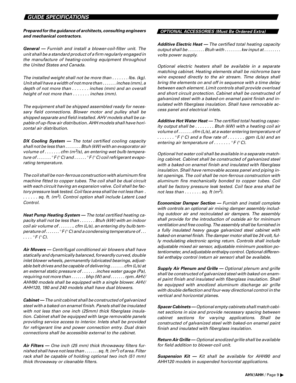#### **GUIDE SPECIFICATIONS**

**Prepared for the guidance of architects, consulting engineers and mechanical contractors.**

**General —** Furnish and install a blower-coil-filter unit. The unit shall be a standard product of a firm regularly engaged in the manufacture of heating-cooling equipment throughout the United States and Canada.

The installed weight shall not be more than  $\dots \dots$  lbs. (kg). Unit shall have a width of not more than . . . . . . . inches (mm), a depth of not more than . . . . . . . inches (mm) and an overall height of not more than . . . . . . . inches (mm).

The equipment shall be shipped assembled ready for necessary field connections. Blower motor and pulley shall be shipped separate and field installed. AHV models shall be capable of up-flow air distribution. AHH models shall have horizontal air distribution.

**DX Cooling System —** The total certified cooling capacity shall not be less than . . . . . . . . Btuh (kW) with an evaporator air volume of . . . . . . . cfm (m<sup>3</sup>/s), an entering wet bulb temperature of  $\ldots\ldots$   $^{\circ}F$  ( $^{\circ}$  C) and  $\ldots\ldots$   $^{\circ}F$  ( $^{\circ}$  C) coil refrigerant evaporating temperature.

The coil shall be non-ferrous construction with aluminum fins machine fitted to copper tubes. The coil shall be dual circuit with each circuit having an expansion valve. Coil shall be factory pressure leak tested. Coil face area shall be not less than . ...... sq. ft. (m<sup>2</sup>). Control option shall include Latent Load Control.

**Heat Pump Heating System —** The total certified heating capacity shall not be less than . . . . . . . Btuh (kW) with an indoor coil air volume of . . . . . . . . cfm (L/s), an entering dry bulb temperature of  $\ldots\ldots$   $^{\circ}$  F ( $^{\circ}$  C) and a condensing temperature of  $\ldots$  $\ldots$   $\,^\circ$   $\digamma$  (  $^\circ$  C).

**Air Movers —** Centrifugal conditioned air blowers shall have statically and dynamically balanced, forwardly curved, double inlet blower wheels, permanently lubricated bearings, adjustable belt drives and be capable of delivering . . . . . . . cfm (L/s) at an external static pressure of . . . . . . .inches water gauge (Pa), requiring not more than . . . . . . . bhp (W) and . . . . . . rpm. AHV/ AHH90 models shall be equipped with a single blower. AHV/ AHH120, 180 and 240 models shall have dual blowers.

**Cabinet —** The unit cabinet shall be constructed of galvanized steel with a baked-on enamel finish. Panels shall be insulated with not less than one inch (25mm) thick fiberglass insulation. Cabinet shall be equipped with large removable panels providing service access to interior. Inlets shall be provided for refrigerant line and power connection entry. Dual drain connections shall be accessible external to the cabinet.

**Air Filters —** One inch (25 mm) thick throwaway filters furnished shall have not less than  $\dots \dots$  sq. ft. (m<sup>2</sup>) of area. Filter rack shall be capable of holding optional two inch (51 mm) thick throwaway or cleanable filters.

#### **OPTIONAL ACCESSORIES (Must Be Ordered Extra)**

**Additive Electric Heat —** The certified total heating capacity output shall be  $\dots \dots$ . Btuh with  $\dots \dots$ . kw input at  $\dots \dots$ . volts power supply.

Optional electric heaters shall be available in a separate matching cabinet. Heating elements shall be nichrome bare wire exposed directly to the air stream. Time delays shall bring the elements on and off in sequence with a time delay between each element. Limit controls shall provide overload and short circuit protection. Cabinet shall be constructed of galvanized steel with a baked-on enamel paint finish and insulated with fiberglass insulation. Shall have removable access panel and electrical inlets.

**Additive Hot Water Heat —** The certified total heating capacity output shall be . . . . . . . . Btuh (kW) with a heating coil air volume of . . . . . . . cfm (L/s), at a water entering temperature of  $\ldots \ldots \cdot$   $\ulcorner$  f ( $\ulcorner$  C) and a flow rate of  $\ldots \ldots$  . gpm (L/s) and an entering air temperature of . . . . . . .  $^{\circ}$ F ( $^{\circ}$ C).

Optional hot water coil shall be available in a separate matching cabinet. Cabinet shall be constructed of galvanized steel with a baked-on enamel finish and insulated with fiberglass insulation. Shall have removable access panel and piping inlet openings. The coil shall be non-ferrous construction with aluminum fins mechanically bonded to copper tubes. Coil shall be factory pressure leak tested. Coil face area shall be not less than  $\dots \dots$  sq. ft (m<sup>2</sup>).

**Economizer Damper Section —** Furnish and install complete with controls an optional air mixing damper assembly including outdoor air and recirculated air dampers. The assembly shall provide for the introduction of outside air for minimum ventilation and free cooling. The assembly shall be furnished in a fully insulated heavy gauge galvanized steel cabinet with baked-on enamel finish. The damper motor shall be 24 volt, fully modulating electronic spring return. Controls shall include adjustable mixed air sensor, adjustable minimum position potentiometer, and adjustable enthalpy control. Optional differential enthalpy control (return air sensor) shall be available.

**Supply Air Plenum and Grille —** Optional plenum and grille shall be constructed of galvanized steel with baked-on enamel paint finish and insulated with fiberglass insulation. Shall be equipped with anodized aluminum discharge air grille with double deflection and four-way directional control in the vertical and horizontal planes.

**Spacer Cabinets —** Optional empty cabinets shall match cabinet sections in size and provide necessary spacing between cabinet sections for varying applications. Shall be constructed of galvanized steel with baked-on enamel paint finish and insulated with fiberglass insulation.

**Return Air Grille —** Optional anodized grille shall be available for field addition to blower-coil unit.

**Suspension Kit —** Kit shall be available for AHH90 and AHH120 models in suspended horizontal applications.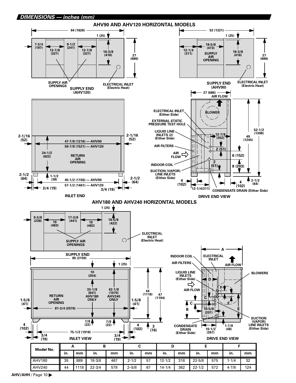

**AHV/AHH** / Page 10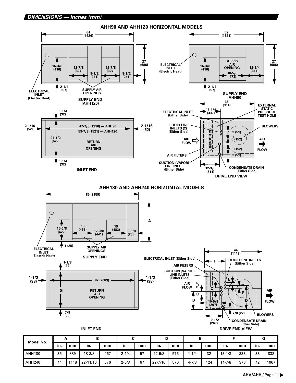

| Model No. | p<br><u>_</u> |     | v            |     | υ         |    |             |     |           |     |            |     |          |      |
|-----------|---------------|-----|--------------|-----|-----------|----|-------------|-----|-----------|-----|------------|-----|----------|------|
|           | in.           | mm  | in.          | mm  | in.       | mm | in.         | mm  | in.       | mm  | in.        | mm  | in.      | mm   |
| AHH180    | 35            | 889 | $18 - 3/8$   | 467 | $2 - 1/4$ | 57 | $22 - 5/8$  | 575 | $-1/4$    | 32  | $13 - 1/8$ | 333 | າາ<br>دت | 838  |
| AHH240    | 44            | 118 | $22 - 11/16$ | 576 | $2 - 5/8$ | 67 | $22 - 7/16$ | 570 | $4 - 7/8$ | 124 | $14 - 7/8$ | 378 | 42       | 1067 |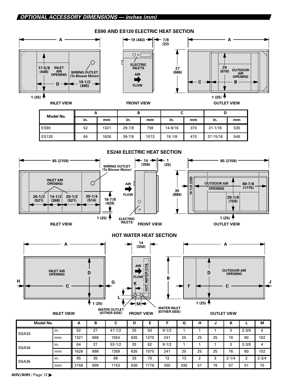

**ES90 AND ES120 ELECTRIC HEAT SECTION**

**(22)**

 $\circ$ **ELECTRIC INLETS** ➡ **FLOW**



**INLET VIEW FRONT VIEW OUTLET VIEW**



| Model No.    | A   |      | D          |      | u        |     |              |     |  |
|--------------|-----|------|------------|------|----------|-----|--------------|-----|--|
|              | in. | mm   | in.        | mm   | in.      | mm  | in.          | mm  |  |
| <b>ES90</b>  | 52  | 1321 | $29 - 7/8$ | 759  | 14-9/16  | 370 | $21 - 1/16$  | 535 |  |
| <b>ES120</b> | 64  | 1626 | $39 - 7/8$ | 1013 | $18-1/8$ | 470 | $37 - 15/16$ | 948 |  |



#### **HOT WATER HEAT SECTION**

**14**







**INLET VIEW**

**OUTLET VIEW**

| Model No. |     | A    | в   | ◠<br>u     | D   | E    |           | G   | н  | N  | N         |           | м         |
|-----------|-----|------|-----|------------|-----|------|-----------|-----|----|----|-----------|-----------|-----------|
| SSA33     | in. | 52   | 27  | $41 - 1/2$ | 25  | 50   | $9 - 1/2$ |     |    |    |           | $2 - 3/8$ | 4         |
|           | mm  | 1321 | 686 | 1054       | 635 | 1270 | 241       | 25  | 25 | 25 | 76        | 60        | 102       |
| SSA34     | in. | 64   | 27  | $53 - 1/2$ | 25  | 62   | $9 - 1/2$ |     |    |    | ◠         | $2 - 3/8$ | 4         |
|           | mm  | 1626 | 686 | 1359       | 635 | 1575 | 241       | 25  | 25 | 25 | 76        | 60        | 102       |
| SSA35     | in. | 85   | 35  | 69         | 33  | 70   | 13        | 13  | ົ  | 3  | $2 - 1/4$ | ົ         | $2 - 3/4$ |
|           | mm  | 2159 | 889 | 1753       | 838 | 1778 | 330       | 330 | 51 | 76 | 57        | 51        | 70        |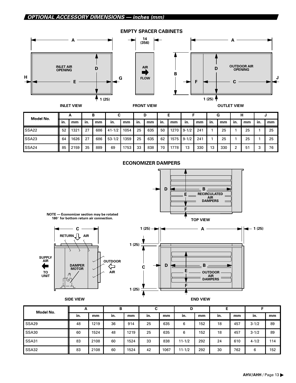

#### **EMPTY SPACER CABINETS**

| Model No.         | A   |      | В   |     | v          |      | D   |     | Е   |      |           |     | G   |     | н      |    |     |    |
|-------------------|-----|------|-----|-----|------------|------|-----|-----|-----|------|-----------|-----|-----|-----|--------|----|-----|----|
|                   | in. | mm   | in. | mm  | in.        | mm   | in. | mm  | in. | mm   | in.       | mm  | in. | mm  | in.    | mm | in. | mm |
| SSA <sub>22</sub> | 52  | 1321 | 27  | 686 | $41 - 1/2$ | 1054 | 25  | 635 | 50  | 1270 | $9 - 1/2$ | 241 |     | 25  |        | 25 |     | 25 |
| SSA <sub>23</sub> | 64  | 1626 | 27  | 686 | $53 - 1/2$ | 1359 | 25  | 635 | 62  | 1575 | $9 - 1/2$ | 241 |     | 25  |        | 25 |     | 25 |
| SSA <sub>24</sub> | 85  | 2159 | 35  | 889 | 69         | 1753 | 33  | 838 | 70  | 1778 | 13        | 330 | 13  | 330 | າ<br>▵ | 51 |     | 76 |

# **ECONOMIZER DAMPERS**



|           | A   |      | в   |      | C   |      | D          |     |     |     |           |     |
|-----------|-----|------|-----|------|-----|------|------------|-----|-----|-----|-----------|-----|
| Model No. | in. | mm   | in. | mm   | in. | mm   | in.        | mm  | in. | mm  | in.       | mm  |
| SSA29     | 48  | 1219 | 36  | 914  | 25  | 635  | 6          | 152 | 18  | 457 | $3 - 1/2$ | 89  |
| SSA30     | 60  | 1524 | 48  | 1219 | 25  | 635  | 6          | 152 | 18  | 457 | $3 - 1/2$ | 89  |
| SSA31     | 83  | 2108 | 60  | 1524 | 33  | 838  | $11 - 1/2$ | 292 | 24  | 610 | $4 - 1/2$ | 114 |
| SSA32     | 83  | 2108 | 60  | 1524 | 42  | 1067 | $11 - 1/2$ | 292 | 30  | 762 | 6         | 152 |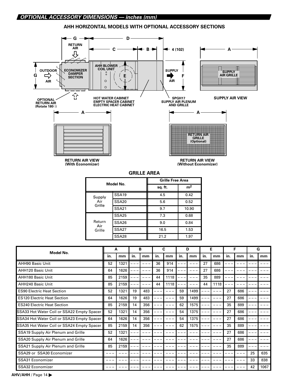



## **GRILLE AREA**

|               | Model No.         | <b>Grille Free Area</b> |                |
|---------------|-------------------|-------------------------|----------------|
|               |                   | sq. ft.                 | m <sup>2</sup> |
| Supply        | <b>SSA19</b>      | 4.5                     | 0.42           |
| Air<br>Grille | SSA <sub>20</sub> | 5.6                     | 0.52           |
|               | <b>SSA21</b>      | 9.7                     | 10.90          |
|               | SSA <sub>25</sub> | 7.3                     | 0.68           |
| Return<br>Air | SSA <sub>26</sub> | 9.0                     | 0.84           |
| Grille        | <b>SSA27</b>      | 16.5                    | 1.53           |
|               | SSA <sub>28</sub> | 21.2                    | 1.97           |

| Model No.                                  |     | A    |     | в   |     | C    |     | D    |     | Е    |     | F   |     | G    |
|--------------------------------------------|-----|------|-----|-----|-----|------|-----|------|-----|------|-----|-----|-----|------|
|                                            | in. | mm   | in. | mm  | in. | mm   | in. | mm   | in. | mm   | in. | mm  | in. | mm   |
| <b>AHH90 Basic Unit</b>                    | 52  | 1321 |     |     | 36  | 914  |     |      | 27  | 686  |     |     |     |      |
| <b>AHH120 Basic Unit</b>                   | 64  | 1626 |     |     | 36  | 914  |     |      | 27  | 686  |     |     |     |      |
| <b>AHH180 Basic Unit</b>                   | 85  | 2159 |     |     | 44  | 1118 |     |      | 35  | 889  |     |     |     |      |
| <b>AHH240 Basic Unit</b>                   | 85  | 2159 |     |     | 44  | 1118 |     |      | 44  | 1118 |     |     |     |      |
| <b>ES90 Electric Heat Section</b>          | 52  | 1321 | 19  | 483 |     |      | 59  | 1499 |     |      | 27  | 686 |     |      |
| <b>ES120 Electric Heat Section</b>         | 64  | 1626 | 19  | 483 |     |      | 59  | 1499 |     |      | 27  | 686 |     |      |
| <b>ES240 Electric Heat Section</b>         | 85  | 2159 | 14  | 356 |     |      | 62  | 1575 |     |      | 35  | 889 |     |      |
| SSA33 Hot Water Coil or SSA22 Empty Spacer | 52  | 1321 | 14  | 356 |     |      | 54  | 1375 |     |      | 27  | 686 |     |      |
| SSA34 Hot Water Coil or SSA23 Empty Spacer | 64  | 1626 | 14  | 356 |     |      | 54  | 1375 |     |      | 27  | 686 |     |      |
| SSA35 Hot Water Coil or SSA24 Empty Spacer | 85  | 2159 | 14  | 356 |     |      | 62  | 1575 |     |      | 35  | 889 |     |      |
| SSA19 Supply Air Plenum and Grille         | 52  | 1321 |     |     |     |      |     |      |     |      | 27  | 686 |     |      |
| SSA20 Supply Air Plenum and Grille         | 64  | 1626 |     |     |     |      |     |      |     |      | 27  | 686 |     |      |
| SSA21 Supply Air Plenum and Grille         | 85  | 2159 |     |     |     |      |     |      |     |      | 35  | 889 |     |      |
| SSA29 or SSA30 Economizer                  |     |      |     |     |     |      |     |      |     |      |     |     | 25  | 635  |
| SSA31 Economizer                           |     |      |     |     |     |      |     |      |     |      |     |     | 33  | 838  |
| SSA32 Economizer                           |     |      |     |     |     |      |     |      |     |      |     |     | 42  | 1067 |

**AHV/AHH** / Page 14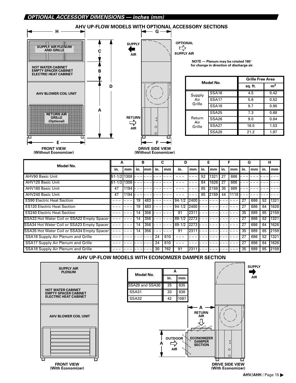## **OPTIONAL ACCESSORY DIMENSIONS — inches (mm)**



# SSA18 Supply Air Plenum and Grille  $||--|--|--|-$  – – – – 30 | 762 | 91 | 2311 – – – – – – – – – – – – 1 35 | 889 | 85 | 2159 **AHV UP-FLOW MODELS WITH ECONOMIZER DAMPER SECTION**

| <b>SUPPLY AIR</b><br><b>PLENUM</b>                                                      |  |
|-----------------------------------------------------------------------------------------|--|
| <b>HOT WATER CABINET</b><br><b>EMPTY SPACER CABINET</b><br><b>ELECTRIC HEAT CABINET</b> |  |
| <b>AHV BLOWER COIL UNIT</b>                                                             |  |
|                                                                                         |  |
| <b>FRONT VIEW</b><br>(With Economizer)                                                  |  |



**(With Economizer)**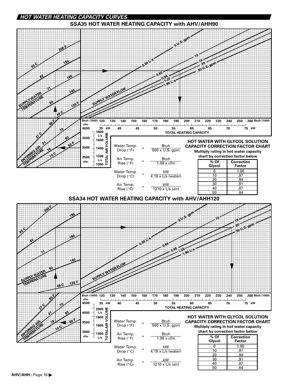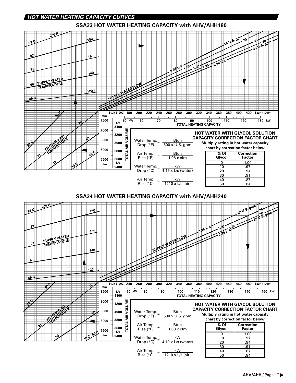# **HOT WATER HEATING CAPACITY CURVES**



**7500**

**cfm**

 $\Box$ 

**3600 3400**

Rise  $(^{\circ}F)$ 

Water Temp. kW  $\frac{1}{2}$  Drop (°C) =  $\frac{1}{4.19 \times 1/s}$  (water)

Air Temp. kW  $Rise (°C) = \frac{kvV}{1210 \times L/s (air)}$ 

 $1.08 \times c$ fm

Glycol

 $\begin{array}{|c|c|c|}\n\hline\n0 & 1.00 \\
\hline\n10 & .97\n\end{array}$  $\begin{array}{|c|c|c|}\n\hline\n10 & .97 \\
\hline\n20 & .94\n\end{array}$ 

 $\begin{array}{|c|c|c|}\n \hline\n 30 & 0.91 \\
 \hline\n 40 & 0.87\n \end{array}$  $\begin{array}{c|c}\n 40 & 0.87 \\
 \hline\n 50 & 0.84\n \end{array}$ 

 $.94$ 

.84

**L/s**